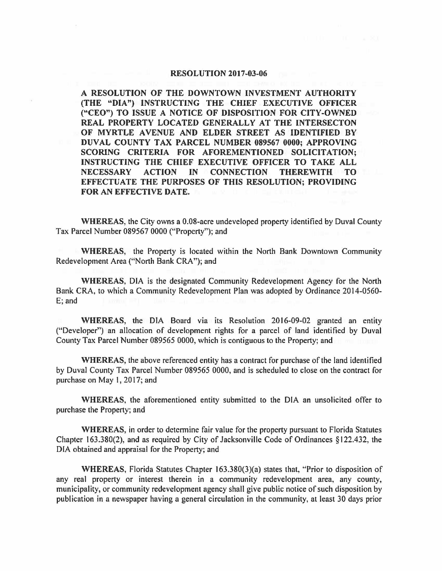## **RESOLUTION 2017-03-06**

**A RESOLUTION OF THE DOWNTOWN INVESTMENT AUTHORITY (THE "DIA") INSTRUCTING THE CHIEF EXECUTIVE OFFICER ("CEO") TO ISSUE A NOTICE OF DISPOSITION FOR CITY-OWNED REAL PROPERTY LOCATED GENERALLY AT THE INTERSECTON OF MYRTLE A VENUE AND ELDER STREET AS IDENTIFIED BY DUVAL COUNTY TAX PARCEL NUMBER 089567 0000; APPROVING SCORING CRITERIA FOR AFOREMENTIONED SOLICITATION; INSTRUCTING THE CHIEF EXECUTIVE OFFICER TO TAKE ALL NECESSARY ACTION IN CONNECTION THEREWITH TO EFFECTUATE THE PURPOSES OF THIS RESOLUTION; PROVIDING FOR AN EFFECTIVE DATE.** 

**WHEREAS,** the City owns a 0.08-acre undeveloped property identified by Duval County Tax Parcel Number 089567 0000 ("Property"); and

**WHEREAS,** the Property is located within the North Bank Downtown Community Redevelopment Area ("North Bank CRA"); and

**WHEREAS,** DIA is the designated Community Redevelopment Agency for the North Bank CRA, to which a Community Redevelopment Plan was adopted by Ordinance 2014-0560- E; and

**WHEREAS,** the DIA Board via its Resolution 2016-09-02 granted an entity ("Developer") an allocation of development rights for a parcel of land identified by Duval County Tax Parcel Number 089565 0000, which is contiguous to the Property; and

**WHEREAS,** the above referenced entity has a contract for purchase of the land identified by Duval County Tax Parcel Number 089565 0000, and is scheduled to close on the contract for purchase on May I, 2017; and

**WHEREAS,** the aforementioned entity submitted to the DIA an unsolicited offer to purchase the Property; and

WHEREAS, in order to determine fair value for the property pursuant to Florida Statutes Chapter 163.380(2), and as required by City of Jacksonville Code of Ordinances § 122.432, the DIA obtained and appraisal for the Property; and

**WHEREAS,** Florida Statutes Chapter l 63.380(3)(a) states that, "Prior to disposition of any real property or interest therein in a community redevelopment area, any county, municipality, or community redevelopment agency shall give public notice of such disposition by publication in a newspaper having a general circulation in the community, at least 30 days prior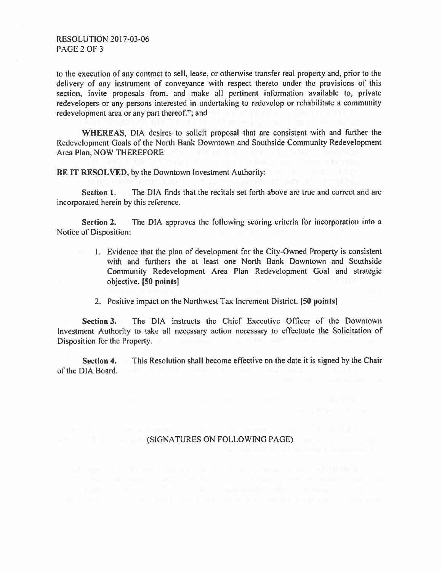## RESOLUTION 2017-03-06 PAGE 2 OF 3

to the execution of any contract to sell, lease, or otherwise transfer real property and, prior to the delivery of any instrument of conveyance with respect thereto under the provisions of this section, invite proposals from, and make all pertinent information available to, private redevelopers or any persons interested in undertaking to redevelop or rehabilitate a community redevelopment area or any part thereof."; and

**WHEREAS,** DIA desires to solicit proposal that are consistent with and further the Redevelopment Goals of the North Bank Downtown and Southside Community Redevelopment Area Plan, NOW THEREFORE

BE IT RESOLVED, by the Downtown Investment Authority:

**Section 1.** The DIA finds that the recitals set forth above are true and correct and are incorporated herein by this reference.

**Section** 2. The DIA approves the following scoring criteria for incorporation into a Notice of Disposition:

- I. Evidence that the plan of development for the City-Owned Property is consistent with and furthers the at least one North Bank Downtown and Southside Community Redevelopment Area Plan Redevelopment Goal and strategic objective. **[50 points]**
- 2. Positive impact on the Northwest Tax Increment District. **(50 points]**

**Section 3.** The DIA instructs the Chief Executive Officer of the Downtown Investment Authority to take all necessary action necessary to effectuate the Solicitation of Disposition for the Property.

**Section 4.** This Resolution shall become effective on the date it is signed by the Chair of the DIA Board.

## (SIGNATURES ON FOLLOWING PAGE)